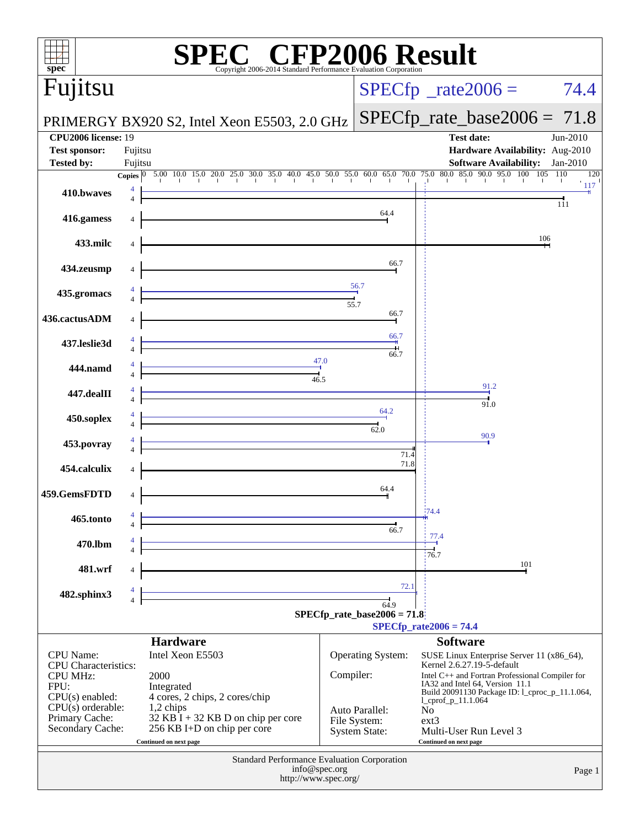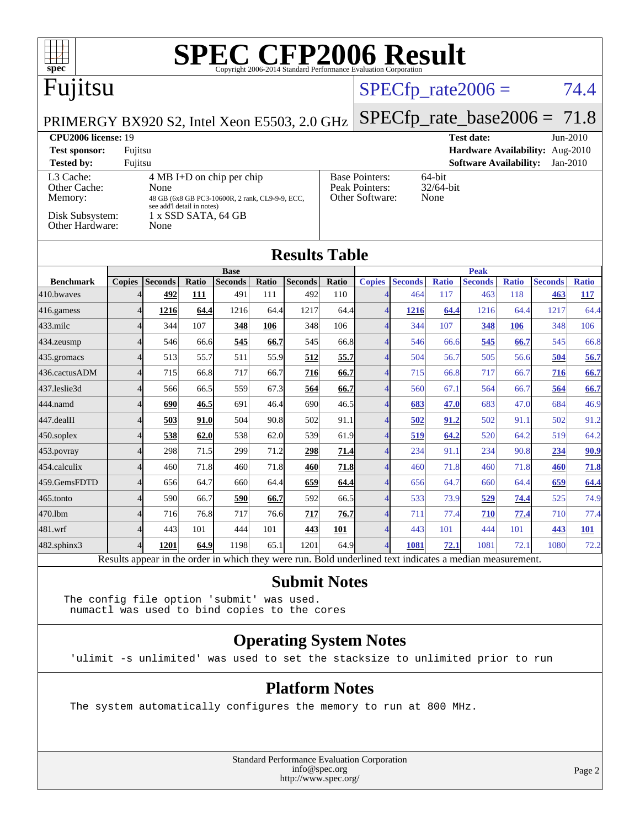| $\text{SPE}_{\text{Copyright 2006-2014 Standard Performance Evaluation Corporation}}$<br>$spec*$                                                                                                                                                                                                                                 |                |                |       |                               |       |                                 |                      |                |                |              |                               |              |                |              |
|----------------------------------------------------------------------------------------------------------------------------------------------------------------------------------------------------------------------------------------------------------------------------------------------------------------------------------|----------------|----------------|-------|-------------------------------|-------|---------------------------------|----------------------|----------------|----------------|--------------|-------------------------------|--------------|----------------|--------------|
| Fujitsu                                                                                                                                                                                                                                                                                                                          |                |                |       |                               |       |                                 | $SPECfp\_rate2006 =$ |                |                |              |                               | 74.4         |                |              |
| $SPECfp_rate_base2006 = 71.8$<br>PRIMERGY BX920 S2, Intel Xeon E5503, 2.0 GHz                                                                                                                                                                                                                                                    |                |                |       |                               |       |                                 |                      |                |                |              |                               |              |                |              |
| <b>CPU2006 license: 19</b><br><b>Test date:</b><br>Jun-2010                                                                                                                                                                                                                                                                      |                |                |       |                               |       |                                 |                      |                |                |              |                               |              |                |              |
| <b>Test sponsor:</b><br>Fujitsu                                                                                                                                                                                                                                                                                                  |                |                |       |                               |       | Hardware Availability: Aug-2010 |                      |                |                |              |                               |              |                |              |
| <b>Tested by:</b><br>Fujitsu<br><b>Software Availability:</b><br>Jan-2010                                                                                                                                                                                                                                                        |                |                |       |                               |       |                                 |                      |                |                |              |                               |              |                |              |
| L3 Cache:<br><b>Base Pointers:</b><br>64-bit<br>$4 MB I+D$ on chip per chip<br>Peak Pointers:<br>Other Cache:<br>None<br>32/64-bit<br>Other Software:<br>None<br>Memory:<br>48 GB (6x8 GB PC3-10600R, 2 rank, CL9-9-9, ECC,<br>see add'l detail in notes)<br>Disk Subsystem:<br>$1 x$ SSD SATA, 64 GB<br>Other Hardware:<br>None |                |                |       |                               |       |                                 |                      |                |                |              |                               |              |                |              |
| <b>Results Table</b>                                                                                                                                                                                                                                                                                                             |                |                |       |                               |       |                                 |                      |                |                |              |                               |              |                |              |
| <b>Benchmark</b>                                                                                                                                                                                                                                                                                                                 | <b>Copies</b>  | <b>Seconds</b> | Ratio | <b>Base</b><br><b>Seconds</b> | Ratio | <b>Seconds</b>                  | Ratio                | <b>Copies</b>  | <b>Seconds</b> | <b>Ratio</b> | <b>Peak</b><br><b>Seconds</b> | <b>Ratio</b> | <b>Seconds</b> | <b>Ratio</b> |
| 410.bwayes                                                                                                                                                                                                                                                                                                                       | 4              | 492            | 111   | 491                           | 111   | 492                             | 110                  | $\overline{4}$ | 464            | 117          | 463                           | 118          | 463            | 117          |
| 416.gamess                                                                                                                                                                                                                                                                                                                       | $\overline{4}$ | 1216           | 64.4  | 1216                          | 64.4  | 1217                            | 64.4                 | $\overline{4}$ | 1216           | 64.4         | 1216                          | 64.4         | 1217           | 64.4         |
| $433$ .milc                                                                                                                                                                                                                                                                                                                      | $\overline{4}$ | 344            | 107   | 348                           | 106   | 348                             | 106                  | $\overline{4}$ | 344            | 107          | 348                           | 106          | 348            | 106          |
| 434.zeusmp                                                                                                                                                                                                                                                                                                                       | $\overline{4}$ | 546            | 66.6  | 545                           | 66.7  | 545                             | 66.8                 | $\overline{4}$ | 546            | 66.6         | 545                           | 66.7         | 545            | 66.8         |
| 435.gromacs                                                                                                                                                                                                                                                                                                                      | $\overline{4}$ | 513            | 55.7  | 511                           | 55.9  | 512                             | 55.7                 | $\overline{4}$ | 504            | 56.7         | 505                           | 56.6         | 504            | 56.7         |
| 436.cactusADM                                                                                                                                                                                                                                                                                                                    | $\overline{4}$ | 715            | 66.8  | 717                           | 66.7  | 716                             | 66.7                 | $\overline{4}$ | 715            | 66.8         | 717                           | 66.7         | 716            | 66.7         |
| 437.leslie3d                                                                                                                                                                                                                                                                                                                     | $\overline{4}$ | 566            | 66.5  | 559                           | 67.3  | 564                             | 66.7                 | $\overline{4}$ | 560            | 67.1         | 564                           | 66.7         | 564            | 66.7         |
| 444.namd                                                                                                                                                                                                                                                                                                                         | $\overline{4}$ | 690            | 46.5  | 691                           | 46.4  | 690                             | 46.5                 | $\overline{4}$ | 683            | 47.0         | 683                           | 47.0         | 684            | 46.9         |
| 447.dealII                                                                                                                                                                                                                                                                                                                       | 4              | 503            | 91.0  | 504                           | 90.8  | 502                             | 91.1                 | $\overline{4}$ | 502            | 91.2         | 502                           | 91.1         | 502            | 91.2         |
| $450$ .soplex                                                                                                                                                                                                                                                                                                                    | $\overline{4}$ | 538            | 62.0  | 538                           | 62.0  | 539                             | 61.9                 | $\overline{4}$ | 519            | 64.2         | 520                           | 64.2         | 519            | 64.2         |
| 453.povray                                                                                                                                                                                                                                                                                                                       | $\overline{4}$ | 298            | 71.5  | 299                           | 71.2  | 298                             | 71.4                 | $\overline{4}$ | 234            | 91.1         | 234                           | 90.8         | 234            | 90.9         |
| 454.calculix                                                                                                                                                                                                                                                                                                                     | $\overline{4}$ | 460            | 71.8  | 460                           | 71.8  | 460                             | 71.8                 | $\overline{4}$ | 460            | 71.8         | 460                           | 71.8         | 460            | 71.8         |
| 459.GemsFDTD                                                                                                                                                                                                                                                                                                                     | $\overline{4}$ | 656            | 64.7  | 660                           | 64.4  | 659                             | 64.4                 | $\overline{4}$ | 656            | 64.7         | 660                           | 64.4         | 659            | 64.4         |

[482.sphinx3](http://www.spec.org/auto/cpu2006/Docs/482.sphinx3.html) 4 **[1201](http://www.spec.org/auto/cpu2006/Docs/result-fields.html#Median) [64.9](http://www.spec.org/auto/cpu2006/Docs/result-fields.html#Median)** 1198 65.1 1201 64.9 4 **[1081](http://www.spec.org/auto/cpu2006/Docs/result-fields.html#Median) [72.1](http://www.spec.org/auto/cpu2006/Docs/result-fields.html#Median)** 1081 72.1 1080 72.2 Results appear in the [order in which they were run.](http://www.spec.org/auto/cpu2006/Docs/result-fields.html#RunOrder) Bold underlined text [indicates a median measurement.](http://www.spec.org/auto/cpu2006/Docs/result-fields.html#Median)

[465.tonto](http://www.spec.org/auto/cpu2006/Docs/465.tonto.html) 4 590 66.7 **[590](http://www.spec.org/auto/cpu2006/Docs/result-fields.html#Median) [66.7](http://www.spec.org/auto/cpu2006/Docs/result-fields.html#Median)** 592 66.5 4 533 73.9 **[529](http://www.spec.org/auto/cpu2006/Docs/result-fields.html#Median) [74.4](http://www.spec.org/auto/cpu2006/Docs/result-fields.html#Median)** 525 74.9 [470.lbm](http://www.spec.org/auto/cpu2006/Docs/470.lbm.html) 4 716 76.8 717 76.6 **[717](http://www.spec.org/auto/cpu2006/Docs/result-fields.html#Median) [76.7](http://www.spec.org/auto/cpu2006/Docs/result-fields.html#Median)** 4 711 77.4 **[710](http://www.spec.org/auto/cpu2006/Docs/result-fields.html#Median) [77.4](http://www.spec.org/auto/cpu2006/Docs/result-fields.html#Median)** 710 77.4 [481.wrf](http://www.spec.org/auto/cpu2006/Docs/481.wrf.html) 4 443 101 444 101 **[443](http://www.spec.org/auto/cpu2006/Docs/result-fields.html#Median) [101](http://www.spec.org/auto/cpu2006/Docs/result-fields.html#Median)** 4 443 101 444 101 **[443](http://www.spec.org/auto/cpu2006/Docs/result-fields.html#Median) [101](http://www.spec.org/auto/cpu2006/Docs/result-fields.html#Median)**

#### **[Submit Notes](http://www.spec.org/auto/cpu2006/Docs/result-fields.html#SubmitNotes)**

The config file option 'submit' was used. numactl was used to bind copies to the cores

#### **[Operating System Notes](http://www.spec.org/auto/cpu2006/Docs/result-fields.html#OperatingSystemNotes)**

'ulimit -s unlimited' was used to set the stacksize to unlimited prior to run

#### **[Platform Notes](http://www.spec.org/auto/cpu2006/Docs/result-fields.html#PlatformNotes)**

The system automatically configures the memory to run at 800 MHz.

Standard Performance Evaluation Corporation [info@spec.org](mailto:info@spec.org) <http://www.spec.org/>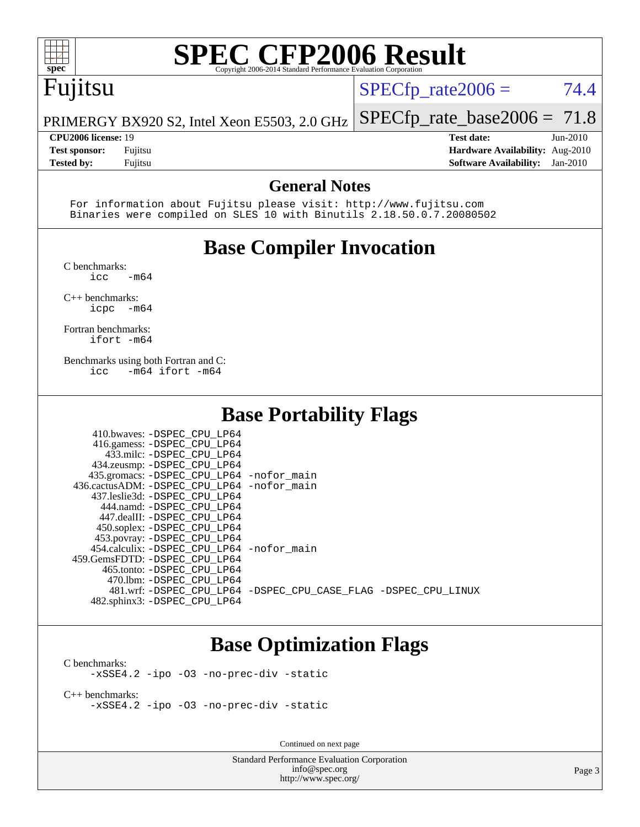

## **[SPEC CFP2006 Result](http://www.spec.org/auto/cpu2006/Docs/result-fields.html#SPECCFP2006Result)**

### Fujitsu

 $SPECTp_rate2006 = 74.4$ 

PRIMERGY BX920 S2, Intel Xeon E5503, 2.0 GHz [SPECfp\\_rate\\_base2006 =](http://www.spec.org/auto/cpu2006/Docs/result-fields.html#SPECfpratebase2006) 71.8

**[Tested by:](http://www.spec.org/auto/cpu2006/Docs/result-fields.html#Testedby)** Fujitsu **[Software Availability:](http://www.spec.org/auto/cpu2006/Docs/result-fields.html#SoftwareAvailability)** Jan-2010

**[CPU2006 license:](http://www.spec.org/auto/cpu2006/Docs/result-fields.html#CPU2006license)** 19 **[Test date:](http://www.spec.org/auto/cpu2006/Docs/result-fields.html#Testdate)** Jun-2010 **[Test sponsor:](http://www.spec.org/auto/cpu2006/Docs/result-fields.html#Testsponsor)** Fujitsu **[Hardware Availability:](http://www.spec.org/auto/cpu2006/Docs/result-fields.html#HardwareAvailability)** Aug-2010

#### **[General Notes](http://www.spec.org/auto/cpu2006/Docs/result-fields.html#GeneralNotes)**

 For information about Fujitsu please visit: <http://www.fujitsu.com> Binaries were compiled on SLES 10 with Binutils 2.18.50.0.7.20080502

#### **[Base Compiler Invocation](http://www.spec.org/auto/cpu2006/Docs/result-fields.html#BaseCompilerInvocation)**

[C benchmarks](http://www.spec.org/auto/cpu2006/Docs/result-fields.html#Cbenchmarks):

 $\text{icc}$   $-\text{m64}$ 

[C++ benchmarks:](http://www.spec.org/auto/cpu2006/Docs/result-fields.html#CXXbenchmarks) [icpc -m64](http://www.spec.org/cpu2006/results/res2010q3/cpu2006-20100702-12085.flags.html#user_CXXbase_intel_icpc_64bit_bedb90c1146cab66620883ef4f41a67e)

[Fortran benchmarks](http://www.spec.org/auto/cpu2006/Docs/result-fields.html#Fortranbenchmarks): [ifort -m64](http://www.spec.org/cpu2006/results/res2010q3/cpu2006-20100702-12085.flags.html#user_FCbase_intel_ifort_64bit_ee9d0fb25645d0210d97eb0527dcc06e)

[Benchmarks using both Fortran and C](http://www.spec.org/auto/cpu2006/Docs/result-fields.html#BenchmarksusingbothFortranandC): [icc -m64](http://www.spec.org/cpu2006/results/res2010q3/cpu2006-20100702-12085.flags.html#user_CC_FCbase_intel_icc_64bit_0b7121f5ab7cfabee23d88897260401c) [ifort -m64](http://www.spec.org/cpu2006/results/res2010q3/cpu2006-20100702-12085.flags.html#user_CC_FCbase_intel_ifort_64bit_ee9d0fb25645d0210d97eb0527dcc06e)

#### **[Base Portability Flags](http://www.spec.org/auto/cpu2006/Docs/result-fields.html#BasePortabilityFlags)**

| 410.bwaves: -DSPEC CPU LP64                 |                                                                |
|---------------------------------------------|----------------------------------------------------------------|
| 416.gamess: -DSPEC_CPU_LP64                 |                                                                |
| 433.milc: -DSPEC CPU LP64                   |                                                                |
| 434.zeusmp: -DSPEC CPU LP64                 |                                                                |
| 435.gromacs: -DSPEC_CPU_LP64 -nofor_main    |                                                                |
| 436.cactusADM: -DSPEC_CPU_LP64 -nofor main  |                                                                |
| 437.leslie3d: -DSPEC CPU LP64               |                                                                |
| 444.namd: -DSPEC CPU LP64                   |                                                                |
| 447.dealII: -DSPEC_CPU LP64                 |                                                                |
| 450.soplex: -DSPEC CPU LP64                 |                                                                |
| 453.povray: -DSPEC_CPU_LP64                 |                                                                |
| 454.calculix: - DSPEC CPU LP64 - nofor main |                                                                |
| 459. GemsFDTD: - DSPEC CPU LP64             |                                                                |
| 465.tonto: -DSPEC CPU LP64                  |                                                                |
| 470.1bm: - DSPEC_CPU LP64                   |                                                                |
|                                             | 481.wrf: -DSPEC CPU_LP64 -DSPEC_CPU_CASE_FLAG -DSPEC_CPU_LINUX |
| 482.sphinx3: -DSPEC_CPU_LP64                |                                                                |

#### **[Base Optimization Flags](http://www.spec.org/auto/cpu2006/Docs/result-fields.html#BaseOptimizationFlags)**

[C benchmarks](http://www.spec.org/auto/cpu2006/Docs/result-fields.html#Cbenchmarks): [-xSSE4.2](http://www.spec.org/cpu2006/results/res2010q3/cpu2006-20100702-12085.flags.html#user_CCbase_f-xSSE42_f91528193cf0b216347adb8b939d4107) [-ipo](http://www.spec.org/cpu2006/results/res2010q3/cpu2006-20100702-12085.flags.html#user_CCbase_f-ipo) [-O3](http://www.spec.org/cpu2006/results/res2010q3/cpu2006-20100702-12085.flags.html#user_CCbase_f-O3) [-no-prec-div](http://www.spec.org/cpu2006/results/res2010q3/cpu2006-20100702-12085.flags.html#user_CCbase_f-no-prec-div) [-static](http://www.spec.org/cpu2006/results/res2010q3/cpu2006-20100702-12085.flags.html#user_CCbase_f-static)

[C++ benchmarks:](http://www.spec.org/auto/cpu2006/Docs/result-fields.html#CXXbenchmarks) [-xSSE4.2](http://www.spec.org/cpu2006/results/res2010q3/cpu2006-20100702-12085.flags.html#user_CXXbase_f-xSSE42_f91528193cf0b216347adb8b939d4107) [-ipo](http://www.spec.org/cpu2006/results/res2010q3/cpu2006-20100702-12085.flags.html#user_CXXbase_f-ipo) [-O3](http://www.spec.org/cpu2006/results/res2010q3/cpu2006-20100702-12085.flags.html#user_CXXbase_f-O3) [-no-prec-div](http://www.spec.org/cpu2006/results/res2010q3/cpu2006-20100702-12085.flags.html#user_CXXbase_f-no-prec-div) [-static](http://www.spec.org/cpu2006/results/res2010q3/cpu2006-20100702-12085.flags.html#user_CXXbase_f-static)

Continued on next page

Standard Performance Evaluation Corporation [info@spec.org](mailto:info@spec.org) <http://www.spec.org/>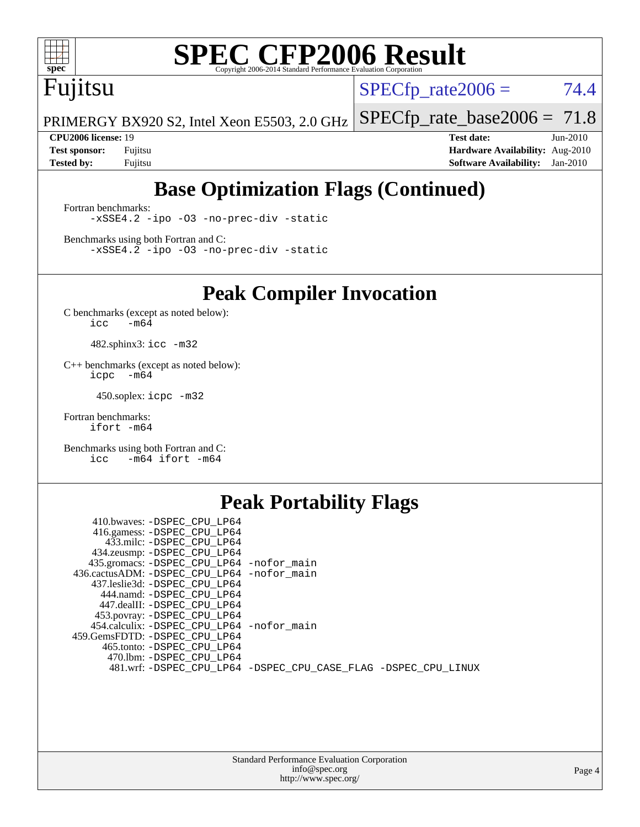

## **[SPEC CFP2006 Result](http://www.spec.org/auto/cpu2006/Docs/result-fields.html#SPECCFP2006Result)**

## Fujitsu

 $SPECTp_rate2006 = 74.4$ 

PRIMERGY BX920 S2, Intel Xeon E5503, 2.0 GHz [SPECfp\\_rate\\_base2006 =](http://www.spec.org/auto/cpu2006/Docs/result-fields.html#SPECfpratebase2006) 71.8

**[CPU2006 license:](http://www.spec.org/auto/cpu2006/Docs/result-fields.html#CPU2006license)** 19 **[Test date:](http://www.spec.org/auto/cpu2006/Docs/result-fields.html#Testdate)** Jun-2010 **[Test sponsor:](http://www.spec.org/auto/cpu2006/Docs/result-fields.html#Testsponsor)** Fujitsu **[Hardware Availability:](http://www.spec.org/auto/cpu2006/Docs/result-fields.html#HardwareAvailability)** Aug-2010 **[Tested by:](http://www.spec.org/auto/cpu2006/Docs/result-fields.html#Testedby)** Fujitsu **[Software Availability:](http://www.spec.org/auto/cpu2006/Docs/result-fields.html#SoftwareAvailability)** Jan-2010

### **[Base Optimization Flags \(Continued\)](http://www.spec.org/auto/cpu2006/Docs/result-fields.html#BaseOptimizationFlags)**

[Fortran benchmarks](http://www.spec.org/auto/cpu2006/Docs/result-fields.html#Fortranbenchmarks): [-xSSE4.2](http://www.spec.org/cpu2006/results/res2010q3/cpu2006-20100702-12085.flags.html#user_FCbase_f-xSSE42_f91528193cf0b216347adb8b939d4107) [-ipo](http://www.spec.org/cpu2006/results/res2010q3/cpu2006-20100702-12085.flags.html#user_FCbase_f-ipo) [-O3](http://www.spec.org/cpu2006/results/res2010q3/cpu2006-20100702-12085.flags.html#user_FCbase_f-O3) [-no-prec-div](http://www.spec.org/cpu2006/results/res2010q3/cpu2006-20100702-12085.flags.html#user_FCbase_f-no-prec-div) [-static](http://www.spec.org/cpu2006/results/res2010q3/cpu2006-20100702-12085.flags.html#user_FCbase_f-static)

[Benchmarks using both Fortran and C](http://www.spec.org/auto/cpu2006/Docs/result-fields.html#BenchmarksusingbothFortranandC): [-xSSE4.2](http://www.spec.org/cpu2006/results/res2010q3/cpu2006-20100702-12085.flags.html#user_CC_FCbase_f-xSSE42_f91528193cf0b216347adb8b939d4107) [-ipo](http://www.spec.org/cpu2006/results/res2010q3/cpu2006-20100702-12085.flags.html#user_CC_FCbase_f-ipo) [-O3](http://www.spec.org/cpu2006/results/res2010q3/cpu2006-20100702-12085.flags.html#user_CC_FCbase_f-O3) [-no-prec-div](http://www.spec.org/cpu2006/results/res2010q3/cpu2006-20100702-12085.flags.html#user_CC_FCbase_f-no-prec-div) [-static](http://www.spec.org/cpu2006/results/res2010q3/cpu2006-20100702-12085.flags.html#user_CC_FCbase_f-static)

**[Peak Compiler Invocation](http://www.spec.org/auto/cpu2006/Docs/result-fields.html#PeakCompilerInvocation)**

[C benchmarks \(except as noted below\)](http://www.spec.org/auto/cpu2006/Docs/result-fields.html#Cbenchmarksexceptasnotedbelow):  $\text{icc}$  -m64

482.sphinx3: [icc -m32](http://www.spec.org/cpu2006/results/res2010q3/cpu2006-20100702-12085.flags.html#user_peakCCLD482_sphinx3_intel_icc_32bit_a6a621f8d50482236b970c6ac5f55f93)

[C++ benchmarks \(except as noted below\):](http://www.spec.org/auto/cpu2006/Docs/result-fields.html#CXXbenchmarksexceptasnotedbelow) [icpc -m64](http://www.spec.org/cpu2006/results/res2010q3/cpu2006-20100702-12085.flags.html#user_CXXpeak_intel_icpc_64bit_bedb90c1146cab66620883ef4f41a67e)

450.soplex: [icpc -m32](http://www.spec.org/cpu2006/results/res2010q3/cpu2006-20100702-12085.flags.html#user_peakCXXLD450_soplex_intel_icpc_32bit_4e5a5ef1a53fd332b3c49e69c3330699)

[Fortran benchmarks](http://www.spec.org/auto/cpu2006/Docs/result-fields.html#Fortranbenchmarks): [ifort -m64](http://www.spec.org/cpu2006/results/res2010q3/cpu2006-20100702-12085.flags.html#user_FCpeak_intel_ifort_64bit_ee9d0fb25645d0210d97eb0527dcc06e)

[Benchmarks using both Fortran and C](http://www.spec.org/auto/cpu2006/Docs/result-fields.html#BenchmarksusingbothFortranandC): [icc -m64](http://www.spec.org/cpu2006/results/res2010q3/cpu2006-20100702-12085.flags.html#user_CC_FCpeak_intel_icc_64bit_0b7121f5ab7cfabee23d88897260401c) [ifort -m64](http://www.spec.org/cpu2006/results/res2010q3/cpu2006-20100702-12085.flags.html#user_CC_FCpeak_intel_ifort_64bit_ee9d0fb25645d0210d97eb0527dcc06e)

#### **[Peak Portability Flags](http://www.spec.org/auto/cpu2006/Docs/result-fields.html#PeakPortabilityFlags)**

| 410.bwaves: -DSPEC CPU LP64                                    |  |
|----------------------------------------------------------------|--|
| 416.gamess: -DSPEC_CPU_LP64                                    |  |
| 433.milc: -DSPEC CPU LP64                                      |  |
| 434.zeusmp: -DSPEC_CPU_LP64                                    |  |
| 435.gromacs: -DSPEC_CPU_LP64 -nofor_main                       |  |
| 436.cactusADM: -DSPEC_CPU_LP64 -nofor_main                     |  |
| 437.leslie3d: -DSPEC CPU LP64                                  |  |
| 444.namd: -DSPEC_CPU_LP64                                      |  |
| 447.dealII: -DSPEC CPU LP64                                    |  |
| 453.povray: -DSPEC_CPU_LP64                                    |  |
| 454.calculix: -DSPEC_CPU_LP64 -nofor_main                      |  |
| 459.GemsFDTD: -DSPEC CPU LP64                                  |  |
| 465.tonto: -DSPEC CPU LP64                                     |  |
| 470.1bm: - DSPEC CPU LP64                                      |  |
| 481.wrf: -DSPEC_CPU_LP64 -DSPEC_CPU_CASE_FLAG -DSPEC_CPU_LINUX |  |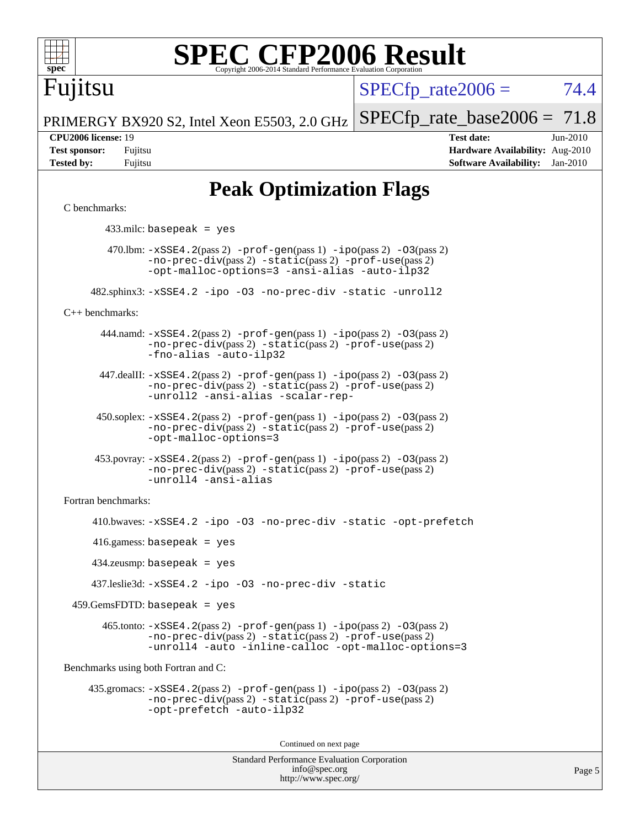

# **[SPEC CFP2006 Result](http://www.spec.org/auto/cpu2006/Docs/result-fields.html#SPECCFP2006Result)**

Fujitsu

 $SPECTp\_rate2006 = 74.4$ 

PRIMERGY BX920 S2, Intel Xeon E5503, 2.0 GHz [SPECfp\\_rate\\_base2006 =](http://www.spec.org/auto/cpu2006/Docs/result-fields.html#SPECfpratebase2006) 71.8

**[CPU2006 license:](http://www.spec.org/auto/cpu2006/Docs/result-fields.html#CPU2006license)** 19 **[Test date:](http://www.spec.org/auto/cpu2006/Docs/result-fields.html#Testdate)** Jun-2010 **[Test sponsor:](http://www.spec.org/auto/cpu2006/Docs/result-fields.html#Testsponsor)** Fujitsu **[Hardware Availability:](http://www.spec.org/auto/cpu2006/Docs/result-fields.html#HardwareAvailability)** Aug-2010 **[Tested by:](http://www.spec.org/auto/cpu2006/Docs/result-fields.html#Testedby)** Fujitsu **[Software Availability:](http://www.spec.org/auto/cpu2006/Docs/result-fields.html#SoftwareAvailability)** Jan-2010

#### **[Peak Optimization Flags](http://www.spec.org/auto/cpu2006/Docs/result-fields.html#PeakOptimizationFlags)**

#### [C benchmarks](http://www.spec.org/auto/cpu2006/Docs/result-fields.html#Cbenchmarks):

433.milc: basepeak = yes

 $470.$ lbm:  $-xSSE4$ .  $2(pass 2)$   $-prof-gen(pass 1)$  $-prof-gen(pass 1)$   $-ipo(pass 2)$  $-ipo(pass 2)$   $-03(pass 2)$ [-no-prec-div](http://www.spec.org/cpu2006/results/res2010q3/cpu2006-20100702-12085.flags.html#user_peakPASS2_CFLAGSPASS2_LDFLAGS470_lbm_f-no-prec-div)(pass 2) [-static](http://www.spec.org/cpu2006/results/res2010q3/cpu2006-20100702-12085.flags.html#user_peakPASS2_CFLAGSPASS2_LDFLAGS470_lbm_f-static)(pass 2) [-prof-use](http://www.spec.org/cpu2006/results/res2010q3/cpu2006-20100702-12085.flags.html#user_peakPASS2_CFLAGSPASS2_LDFLAGS470_lbm_prof_use_bccf7792157ff70d64e32fe3e1250b55)(pass 2) [-opt-malloc-options=3](http://www.spec.org/cpu2006/results/res2010q3/cpu2006-20100702-12085.flags.html#user_peakOPTIMIZE470_lbm_f-opt-malloc-options_13ab9b803cf986b4ee62f0a5998c2238) [-ansi-alias](http://www.spec.org/cpu2006/results/res2010q3/cpu2006-20100702-12085.flags.html#user_peakOPTIMIZE470_lbm_f-ansi-alias) [-auto-ilp32](http://www.spec.org/cpu2006/results/res2010q3/cpu2006-20100702-12085.flags.html#user_peakCOPTIMIZE470_lbm_f-auto-ilp32)

482.sphinx3: [-xSSE4.2](http://www.spec.org/cpu2006/results/res2010q3/cpu2006-20100702-12085.flags.html#user_peakOPTIMIZE482_sphinx3_f-xSSE42_f91528193cf0b216347adb8b939d4107) [-ipo](http://www.spec.org/cpu2006/results/res2010q3/cpu2006-20100702-12085.flags.html#user_peakOPTIMIZE482_sphinx3_f-ipo) [-O3](http://www.spec.org/cpu2006/results/res2010q3/cpu2006-20100702-12085.flags.html#user_peakOPTIMIZE482_sphinx3_f-O3) [-no-prec-div](http://www.spec.org/cpu2006/results/res2010q3/cpu2006-20100702-12085.flags.html#user_peakOPTIMIZE482_sphinx3_f-no-prec-div) [-static](http://www.spec.org/cpu2006/results/res2010q3/cpu2006-20100702-12085.flags.html#user_peakOPTIMIZE482_sphinx3_f-static) [-unroll2](http://www.spec.org/cpu2006/results/res2010q3/cpu2006-20100702-12085.flags.html#user_peakCOPTIMIZE482_sphinx3_f-unroll_784dae83bebfb236979b41d2422d7ec2)

[C++ benchmarks:](http://www.spec.org/auto/cpu2006/Docs/result-fields.html#CXXbenchmarks)

444.namd:  $-xSSE4$ . 2(pass 2)  $-prof-gen(pass 1) -ipo(pass 2) -O3(pass 2)$  $-prof-gen(pass 1) -ipo(pass 2) -O3(pass 2)$  $-prof-gen(pass 1) -ipo(pass 2) -O3(pass 2)$  $-prof-gen(pass 1) -ipo(pass 2) -O3(pass 2)$  $-prof-gen(pass 1) -ipo(pass 2) -O3(pass 2)$  $-prof-gen(pass 1) -ipo(pass 2) -O3(pass 2)$ [-no-prec-div](http://www.spec.org/cpu2006/results/res2010q3/cpu2006-20100702-12085.flags.html#user_peakPASS2_CXXFLAGSPASS2_LDFLAGS444_namd_f-no-prec-div)(pass 2) [-static](http://www.spec.org/cpu2006/results/res2010q3/cpu2006-20100702-12085.flags.html#user_peakPASS2_CXXFLAGSPASS2_LDFLAGS444_namd_f-static)(pass 2) [-prof-use](http://www.spec.org/cpu2006/results/res2010q3/cpu2006-20100702-12085.flags.html#user_peakPASS2_CXXFLAGSPASS2_LDFLAGS444_namd_prof_use_bccf7792157ff70d64e32fe3e1250b55)(pass 2) [-fno-alias](http://www.spec.org/cpu2006/results/res2010q3/cpu2006-20100702-12085.flags.html#user_peakCXXOPTIMIZE444_namd_f-no-alias_694e77f6c5a51e658e82ccff53a9e63a) [-auto-ilp32](http://www.spec.org/cpu2006/results/res2010q3/cpu2006-20100702-12085.flags.html#user_peakCXXOPTIMIZE444_namd_f-auto-ilp32)

 447.dealII: [-xSSE4.2](http://www.spec.org/cpu2006/results/res2010q3/cpu2006-20100702-12085.flags.html#user_peakPASS2_CXXFLAGSPASS2_LDFLAGS447_dealII_f-xSSE42_f91528193cf0b216347adb8b939d4107)(pass 2) [-prof-gen](http://www.spec.org/cpu2006/results/res2010q3/cpu2006-20100702-12085.flags.html#user_peakPASS1_CXXFLAGSPASS1_LDFLAGS447_dealII_prof_gen_e43856698f6ca7b7e442dfd80e94a8fc)(pass 1) [-ipo](http://www.spec.org/cpu2006/results/res2010q3/cpu2006-20100702-12085.flags.html#user_peakPASS2_CXXFLAGSPASS2_LDFLAGS447_dealII_f-ipo)(pass 2) [-O3](http://www.spec.org/cpu2006/results/res2010q3/cpu2006-20100702-12085.flags.html#user_peakPASS2_CXXFLAGSPASS2_LDFLAGS447_dealII_f-O3)(pass 2) [-no-prec-div](http://www.spec.org/cpu2006/results/res2010q3/cpu2006-20100702-12085.flags.html#user_peakPASS2_CXXFLAGSPASS2_LDFLAGS447_dealII_f-no-prec-div)(pass 2) [-static](http://www.spec.org/cpu2006/results/res2010q3/cpu2006-20100702-12085.flags.html#user_peakPASS2_CXXFLAGSPASS2_LDFLAGS447_dealII_f-static)(pass 2) [-prof-use](http://www.spec.org/cpu2006/results/res2010q3/cpu2006-20100702-12085.flags.html#user_peakPASS2_CXXFLAGSPASS2_LDFLAGS447_dealII_prof_use_bccf7792157ff70d64e32fe3e1250b55)(pass 2) [-unroll2](http://www.spec.org/cpu2006/results/res2010q3/cpu2006-20100702-12085.flags.html#user_peakCXXOPTIMIZE447_dealII_f-unroll_784dae83bebfb236979b41d2422d7ec2) [-ansi-alias](http://www.spec.org/cpu2006/results/res2010q3/cpu2006-20100702-12085.flags.html#user_peakCXXOPTIMIZE447_dealII_f-ansi-alias) [-scalar-rep-](http://www.spec.org/cpu2006/results/res2010q3/cpu2006-20100702-12085.flags.html#user_peakCXXOPTIMIZE447_dealII_f-disablescalarrep_abbcad04450fb118e4809c81d83c8a1d)

 450.soplex: [-xSSE4.2](http://www.spec.org/cpu2006/results/res2010q3/cpu2006-20100702-12085.flags.html#user_peakPASS2_CXXFLAGSPASS2_LDFLAGS450_soplex_f-xSSE42_f91528193cf0b216347adb8b939d4107)(pass 2) [-prof-gen](http://www.spec.org/cpu2006/results/res2010q3/cpu2006-20100702-12085.flags.html#user_peakPASS1_CXXFLAGSPASS1_LDFLAGS450_soplex_prof_gen_e43856698f6ca7b7e442dfd80e94a8fc)(pass 1) [-ipo](http://www.spec.org/cpu2006/results/res2010q3/cpu2006-20100702-12085.flags.html#user_peakPASS2_CXXFLAGSPASS2_LDFLAGS450_soplex_f-ipo)(pass 2) [-O3](http://www.spec.org/cpu2006/results/res2010q3/cpu2006-20100702-12085.flags.html#user_peakPASS2_CXXFLAGSPASS2_LDFLAGS450_soplex_f-O3)(pass 2) [-no-prec-div](http://www.spec.org/cpu2006/results/res2010q3/cpu2006-20100702-12085.flags.html#user_peakPASS2_CXXFLAGSPASS2_LDFLAGS450_soplex_f-no-prec-div)(pass 2) [-static](http://www.spec.org/cpu2006/results/res2010q3/cpu2006-20100702-12085.flags.html#user_peakPASS2_CXXFLAGSPASS2_LDFLAGS450_soplex_f-static)(pass 2) [-prof-use](http://www.spec.org/cpu2006/results/res2010q3/cpu2006-20100702-12085.flags.html#user_peakPASS2_CXXFLAGSPASS2_LDFLAGS450_soplex_prof_use_bccf7792157ff70d64e32fe3e1250b55)(pass 2) [-opt-malloc-options=3](http://www.spec.org/cpu2006/results/res2010q3/cpu2006-20100702-12085.flags.html#user_peakOPTIMIZE450_soplex_f-opt-malloc-options_13ab9b803cf986b4ee62f0a5998c2238)

 453.povray: [-xSSE4.2](http://www.spec.org/cpu2006/results/res2010q3/cpu2006-20100702-12085.flags.html#user_peakPASS2_CXXFLAGSPASS2_LDFLAGS453_povray_f-xSSE42_f91528193cf0b216347adb8b939d4107)(pass 2) [-prof-gen](http://www.spec.org/cpu2006/results/res2010q3/cpu2006-20100702-12085.flags.html#user_peakPASS1_CXXFLAGSPASS1_LDFLAGS453_povray_prof_gen_e43856698f6ca7b7e442dfd80e94a8fc)(pass 1) [-ipo](http://www.spec.org/cpu2006/results/res2010q3/cpu2006-20100702-12085.flags.html#user_peakPASS2_CXXFLAGSPASS2_LDFLAGS453_povray_f-ipo)(pass 2) [-O3](http://www.spec.org/cpu2006/results/res2010q3/cpu2006-20100702-12085.flags.html#user_peakPASS2_CXXFLAGSPASS2_LDFLAGS453_povray_f-O3)(pass 2) [-no-prec-div](http://www.spec.org/cpu2006/results/res2010q3/cpu2006-20100702-12085.flags.html#user_peakPASS2_CXXFLAGSPASS2_LDFLAGS453_povray_f-no-prec-div)(pass 2) [-static](http://www.spec.org/cpu2006/results/res2010q3/cpu2006-20100702-12085.flags.html#user_peakPASS2_CXXFLAGSPASS2_LDFLAGS453_povray_f-static)(pass 2) [-prof-use](http://www.spec.org/cpu2006/results/res2010q3/cpu2006-20100702-12085.flags.html#user_peakPASS2_CXXFLAGSPASS2_LDFLAGS453_povray_prof_use_bccf7792157ff70d64e32fe3e1250b55)(pass 2) [-unroll4](http://www.spec.org/cpu2006/results/res2010q3/cpu2006-20100702-12085.flags.html#user_peakCXXOPTIMIZE453_povray_f-unroll_4e5e4ed65b7fd20bdcd365bec371b81f) [-ansi-alias](http://www.spec.org/cpu2006/results/res2010q3/cpu2006-20100702-12085.flags.html#user_peakCXXOPTIMIZE453_povray_f-ansi-alias)

[Fortran benchmarks](http://www.spec.org/auto/cpu2006/Docs/result-fields.html#Fortranbenchmarks):

 410.bwaves: [-xSSE4.2](http://www.spec.org/cpu2006/results/res2010q3/cpu2006-20100702-12085.flags.html#user_peakOPTIMIZE410_bwaves_f-xSSE42_f91528193cf0b216347adb8b939d4107) [-ipo](http://www.spec.org/cpu2006/results/res2010q3/cpu2006-20100702-12085.flags.html#user_peakOPTIMIZE410_bwaves_f-ipo) [-O3](http://www.spec.org/cpu2006/results/res2010q3/cpu2006-20100702-12085.flags.html#user_peakOPTIMIZE410_bwaves_f-O3) [-no-prec-div](http://www.spec.org/cpu2006/results/res2010q3/cpu2006-20100702-12085.flags.html#user_peakOPTIMIZE410_bwaves_f-no-prec-div) [-static](http://www.spec.org/cpu2006/results/res2010q3/cpu2006-20100702-12085.flags.html#user_peakOPTIMIZE410_bwaves_f-static) [-opt-prefetch](http://www.spec.org/cpu2006/results/res2010q3/cpu2006-20100702-12085.flags.html#user_peakOPTIMIZE410_bwaves_f-opt-prefetch) 416.gamess: basepeak = yes 434.zeusmp: basepeak = yes 437.leslie3d: [-xSSE4.2](http://www.spec.org/cpu2006/results/res2010q3/cpu2006-20100702-12085.flags.html#user_peakOPTIMIZE437_leslie3d_f-xSSE42_f91528193cf0b216347adb8b939d4107) [-ipo](http://www.spec.org/cpu2006/results/res2010q3/cpu2006-20100702-12085.flags.html#user_peakOPTIMIZE437_leslie3d_f-ipo) [-O3](http://www.spec.org/cpu2006/results/res2010q3/cpu2006-20100702-12085.flags.html#user_peakOPTIMIZE437_leslie3d_f-O3) [-no-prec-div](http://www.spec.org/cpu2006/results/res2010q3/cpu2006-20100702-12085.flags.html#user_peakOPTIMIZE437_leslie3d_f-no-prec-div) [-static](http://www.spec.org/cpu2006/results/res2010q3/cpu2006-20100702-12085.flags.html#user_peakOPTIMIZE437_leslie3d_f-static)  $459.GemsFDTD: basepeak = yes$  465.tonto: [-xSSE4.2](http://www.spec.org/cpu2006/results/res2010q3/cpu2006-20100702-12085.flags.html#user_peakPASS2_FFLAGSPASS2_LDFLAGS465_tonto_f-xSSE42_f91528193cf0b216347adb8b939d4107)(pass 2) [-prof-gen](http://www.spec.org/cpu2006/results/res2010q3/cpu2006-20100702-12085.flags.html#user_peakPASS1_FFLAGSPASS1_LDFLAGS465_tonto_prof_gen_e43856698f6ca7b7e442dfd80e94a8fc)(pass 1) [-ipo](http://www.spec.org/cpu2006/results/res2010q3/cpu2006-20100702-12085.flags.html#user_peakPASS2_FFLAGSPASS2_LDFLAGS465_tonto_f-ipo)(pass 2) [-O3](http://www.spec.org/cpu2006/results/res2010q3/cpu2006-20100702-12085.flags.html#user_peakPASS2_FFLAGSPASS2_LDFLAGS465_tonto_f-O3)(pass 2) [-no-prec-div](http://www.spec.org/cpu2006/results/res2010q3/cpu2006-20100702-12085.flags.html#user_peakPASS2_FFLAGSPASS2_LDFLAGS465_tonto_f-no-prec-div)(pass 2) [-static](http://www.spec.org/cpu2006/results/res2010q3/cpu2006-20100702-12085.flags.html#user_peakPASS2_FFLAGSPASS2_LDFLAGS465_tonto_f-static)(pass 2) [-prof-use](http://www.spec.org/cpu2006/results/res2010q3/cpu2006-20100702-12085.flags.html#user_peakPASS2_FFLAGSPASS2_LDFLAGS465_tonto_prof_use_bccf7792157ff70d64e32fe3e1250b55)(pass 2) [-unroll4](http://www.spec.org/cpu2006/results/res2010q3/cpu2006-20100702-12085.flags.html#user_peakOPTIMIZE465_tonto_f-unroll_4e5e4ed65b7fd20bdcd365bec371b81f) [-auto](http://www.spec.org/cpu2006/results/res2010q3/cpu2006-20100702-12085.flags.html#user_peakOPTIMIZE465_tonto_f-auto) [-inline-calloc](http://www.spec.org/cpu2006/results/res2010q3/cpu2006-20100702-12085.flags.html#user_peakOPTIMIZE465_tonto_f-inline-calloc) [-opt-malloc-options=3](http://www.spec.org/cpu2006/results/res2010q3/cpu2006-20100702-12085.flags.html#user_peakOPTIMIZE465_tonto_f-opt-malloc-options_13ab9b803cf986b4ee62f0a5998c2238) [Benchmarks using both Fortran and C](http://www.spec.org/auto/cpu2006/Docs/result-fields.html#BenchmarksusingbothFortranandC): 435.gromacs: [-xSSE4.2](http://www.spec.org/cpu2006/results/res2010q3/cpu2006-20100702-12085.flags.html#user_peakPASS2_CFLAGSPASS2_FFLAGSPASS2_LDFLAGS435_gromacs_f-xSSE42_f91528193cf0b216347adb8b939d4107)(pass 2) [-prof-gen](http://www.spec.org/cpu2006/results/res2010q3/cpu2006-20100702-12085.flags.html#user_peakPASS1_CFLAGSPASS1_FFLAGSPASS1_LDFLAGS435_gromacs_prof_gen_e43856698f6ca7b7e442dfd80e94a8fc)(pass 1) [-ipo](http://www.spec.org/cpu2006/results/res2010q3/cpu2006-20100702-12085.flags.html#user_peakPASS2_CFLAGSPASS2_FFLAGSPASS2_LDFLAGS435_gromacs_f-ipo)(pass 2) [-O3](http://www.spec.org/cpu2006/results/res2010q3/cpu2006-20100702-12085.flags.html#user_peakPASS2_CFLAGSPASS2_FFLAGSPASS2_LDFLAGS435_gromacs_f-O3)(pass 2)

[-no-prec-div](http://www.spec.org/cpu2006/results/res2010q3/cpu2006-20100702-12085.flags.html#user_peakPASS2_CFLAGSPASS2_FFLAGSPASS2_LDFLAGS435_gromacs_f-no-prec-div)(pass 2) [-static](http://www.spec.org/cpu2006/results/res2010q3/cpu2006-20100702-12085.flags.html#user_peakPASS2_CFLAGSPASS2_FFLAGSPASS2_LDFLAGS435_gromacs_f-static)(pass 2) [-prof-use](http://www.spec.org/cpu2006/results/res2010q3/cpu2006-20100702-12085.flags.html#user_peakPASS2_CFLAGSPASS2_FFLAGSPASS2_LDFLAGS435_gromacs_prof_use_bccf7792157ff70d64e32fe3e1250b55)(pass 2)

[-opt-prefetch](http://www.spec.org/cpu2006/results/res2010q3/cpu2006-20100702-12085.flags.html#user_peakOPTIMIZE435_gromacs_f-opt-prefetch) [-auto-ilp32](http://www.spec.org/cpu2006/results/res2010q3/cpu2006-20100702-12085.flags.html#user_peakCOPTIMIZE435_gromacs_f-auto-ilp32)

Continued on next page

Standard Performance Evaluation Corporation [info@spec.org](mailto:info@spec.org) <http://www.spec.org/>